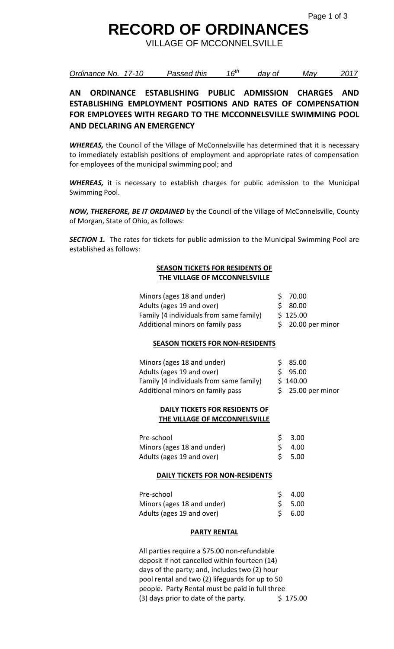## **RECORD OF ORDINANCES**

VILLAGE OF MCCONNELSVILLE

*Ordinance No. 17-10 Passed this 16th day of May 2017*

### **AN ORDINANCE ESTABLISHING PUBLIC ADMISSION CHARGES AND ESTABLISHING EMPLOYMENT POSITIONS AND RATES OF COMPENSATION FOR EMPLOYEES WITH REGARD TO THE MCCONNELSVILLE SWIMMING POOL AND DECLARING AN EMERGENCY**

*WHEREAS,* the Council of the Village of McConnelsville has determined that it is necessary to immediately establish positions of employment and appropriate rates of compensation for employees of the municipal swimming pool; and

*WHEREAS,* it is necessary to establish charges for public admission to the Municipal Swimming Pool.

*NOW, THEREFORE, BE IT ORDAINED* by the Council of the Village of McConnelsville, County of Morgan, State of Ohio, as follows:

**SECTION 1.** The rates for tickets for public admission to the Municipal Swimming Pool are established as follows:

#### **SEASON TICKETS FOR RESIDENTS OF THE VILLAGE OF MCCONNELSVILLE**

| Minors (ages 18 and under)              | \$70.00            |
|-----------------------------------------|--------------------|
| Adults (ages 19 and over)               | \$ 80.00           |
| Family (4 individuals from same family) | \$125.00           |
| Additional minors on family pass        | $$20.00$ per minor |

#### **SEASON TICKETS FOR NON-RESIDENTS**

| Minors (ages 18 and under)              | \$85.00            |
|-----------------------------------------|--------------------|
| Adults (ages 19 and over)               | \$95.00            |
| Family (4 individuals from same family) | \$140.00           |
| Additional minors on family pass        | $$25.00$ per minor |

#### **DAILY TICKETS FOR RESIDENTS OF THE VILLAGE OF MCCONNELSVILLE**

| Pre-school                 | $5 \quad 3.00$ |
|----------------------------|----------------|
| Minors (ages 18 and under) | $5 \quad 4.00$ |
| Adults (ages 19 and over)  | $S$ 5.00       |

#### **DAILY TICKETS FOR NON-RESIDENTS**

| Pre-school                 | $5\quad 4.00$ |
|----------------------------|---------------|
| Minors (ages 18 and under) | $S$ 5.00      |
| Adults (ages 19 and over)  | S 6.00        |

#### **PARTY RENTAL**

All parties require a \$75.00 non-refundable deposit if not cancelled within fourteen (14) days of the party; and, includes two (2) hour pool rental and two (2) lifeguards for up to 50 people. Party Rental must be paid in full three (3) days prior to date of the party.  $$ 175.00$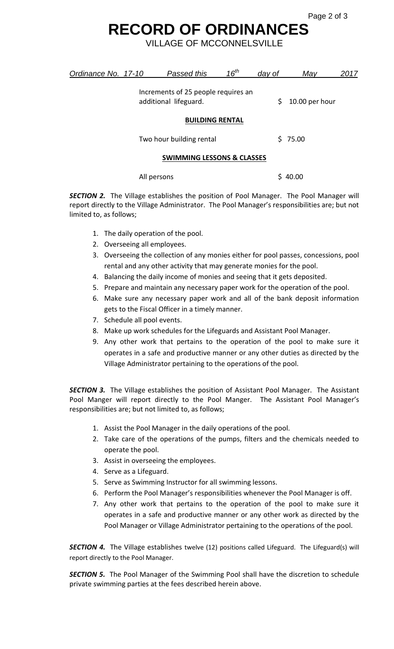## **RECORD OF ORDINANCES**

VILLAGE OF MCCONNELSVILLE

| Ordinance No. 17-10                   |  | Passed this                                                  | $16^{th}$ | day of  | May            | 2017 |
|---------------------------------------|--|--------------------------------------------------------------|-----------|---------|----------------|------|
|                                       |  | Increments of 25 people requires an<br>additional lifeguard. |           | \$      | 10.00 per hour |      |
| <b>BUILDING RENTAL</b>                |  |                                                              |           |         |                |      |
| Two hour building rental              |  |                                                              |           | \$75.00 |                |      |
| <b>SWIMMING LESSONS &amp; CLASSES</b> |  |                                                              |           |         |                |      |
|                                       |  | All persons                                                  |           |         | \$40.00        |      |

**SECTION 2.** The Village establishes the position of Pool Manager. The Pool Manager will report directly to the Village Administrator. The Pool Manager's responsibilities are; but not limited to, as follows;

- 1. The daily operation of the pool.
- 2. Overseeing all employees.
- 3. Overseeing the collection of any monies either for pool passes, concessions, pool rental and any other activity that may generate monies for the pool.
- 4. Balancing the daily income of monies and seeing that it gets deposited.
- 5. Prepare and maintain any necessary paper work for the operation of the pool.
- 6. Make sure any necessary paper work and all of the bank deposit information gets to the Fiscal Officer in a timely manner.
- 7. Schedule all pool events.
- 8. Make up work schedules for the Lifeguards and Assistant Pool Manager.
- 9. Any other work that pertains to the operation of the pool to make sure it operates in a safe and productive manner or any other duties as directed by the Village Administrator pertaining to the operations of the pool.

**SECTION 3.** The Village establishes the position of Assistant Pool Manager. The Assistant Pool Manger will report directly to the Pool Manger. The Assistant Pool Manager's responsibilities are; but not limited to, as follows;

- 1. Assist the Pool Manager in the daily operations of the pool.
- 2. Take care of the operations of the pumps, filters and the chemicals needed to operate the pool.
- 3. Assist in overseeing the employees.
- 4. Serve as a Lifeguard.
- 5. Serve as Swimming Instructor for all swimming lessons.
- 6. Perform the Pool Manager's responsibilities whenever the Pool Manager is off.
- 7. Any other work that pertains to the operation of the pool to make sure it operates in a safe and productive manner or any other work as directed by the Pool Manager or Village Administrator pertaining to the operations of the pool.

**SECTION 4.** The Village establishes twelve (12) positions called Lifeguard. The Lifeguard(s) will report directly to the Pool Manager.

**SECTION 5.** The Pool Manager of the Swimming Pool shall have the discretion to schedule private swimming parties at the fees described herein above.